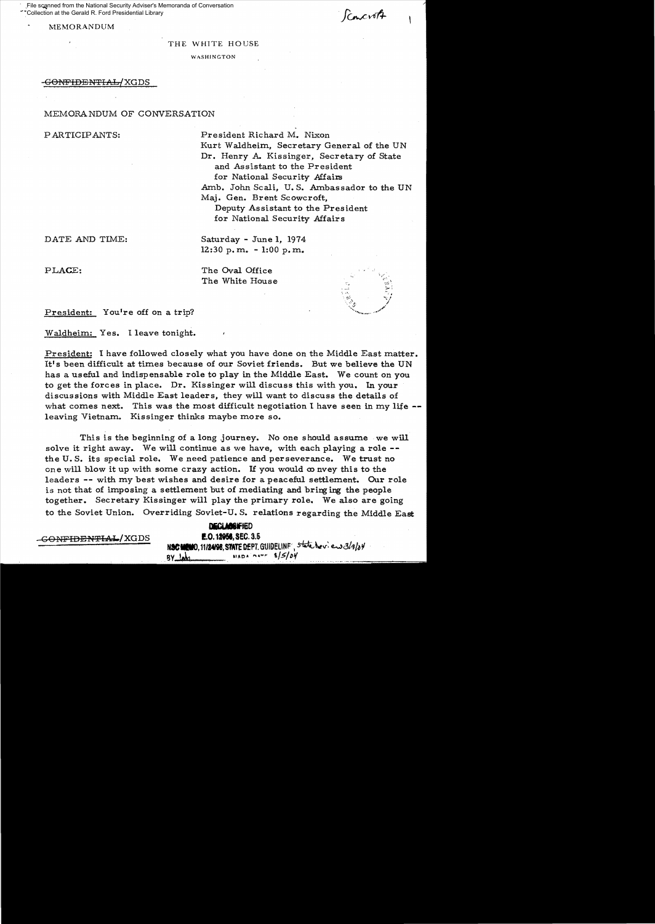File scanned from the National Security Adviser's Memoranda of Conversation Collection at the Gerald R. Ford Presidential Library

MEMORANDUM

*Concrett* 

#### THE WHITE HOUSE

WASHINGTON

### <del>-GONFIDENTIAL/</del>XGDS

### MEMORANDUM OF CONVERSATION

PARTICIPANTS: President Richard M. Nixon Kurt Waldheim, Secretary General of the UN Dr. Henry A. Kissinger, Secretary of State and Assistant to the President for National Security Affairs Amb. John Scali, U. S. Ambassador to the UN Maj. Gen. Brent Scowcroft, Deputy Assistant to the President for National Security Affairs

DATE AND TIME: Saturday - June 1, 1974 12:30 p. m. - 1:00 p. m.

PLACE: The Oval Office The White House



President: You're off on a trip?

Waldheim: Yes. I leave tonight.

President: I have followed closely what you have done on the Middle East matter. It's been difficult at times because of our Soviet friends. But we believe the UN has a useful and indispensable role to play in the Middle East. We count on you to get the forces in place. Dr. Kissinger will discuss this with you. In your discussions with Middle East leaders, they will want to discuss the details of what comes next. This was the most difficult negotiation I have seen in my life -leaving Vietnam. Kissinger thinks maybe more so.

This is the beginning of a long journey. No one should assume we will solve it right away. We will continue as we have, with each playing a role -the U. S. its special role. We need patience and perseverance. We trust no one will blow it up with some crazy action. If you would  $\infty$  nvey this to the leaders -- with my best wishes and desire for a peaceful settlement. Our role is not that of imposing a settlement but of mediating and bringing the people together. Secretary Kissinger will play the primary role. We also are going to the Soviet Union. Overriding Soviet-U. S. relations regarding the Middle East

# DECLASSIFIED  $-$ GONFIDENTIAL./XGDS  $\blacksquare$ .0.12958, SEC. 3.5 N**SC MEMO, 11/24/98, STATE DEPT.** GUIDELINF', State Nev: en 3/9/04 .8Y t.,k *,,/s/*/)'/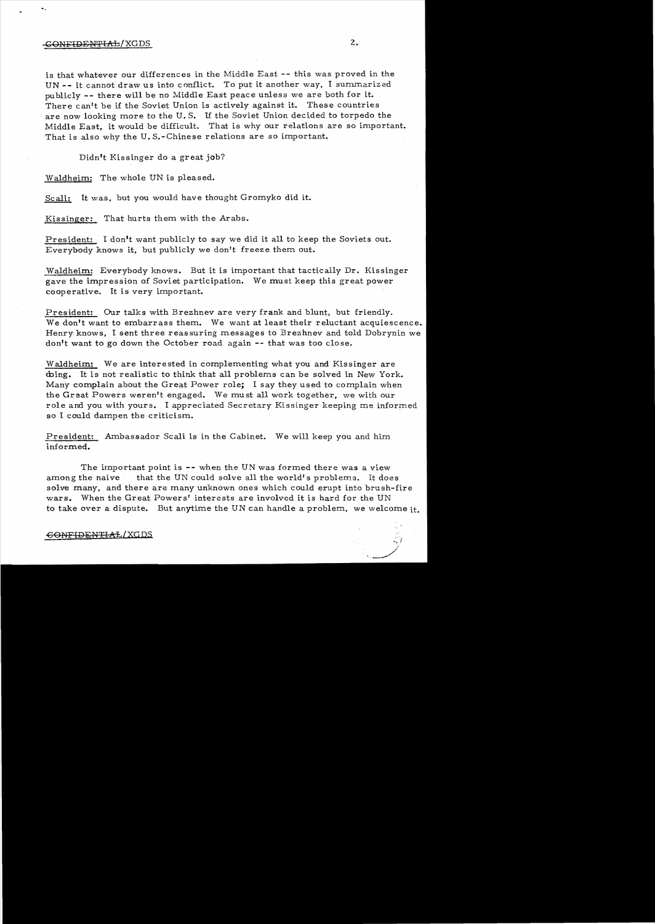## -CONFIDENTIAL/XGDS 2.

is that whatever our differences in the Middle East -- this was proved in the UN -- it cannot draw us into conflict. To put it another way, I summarized publicly -- there will be no Middle East peace unless we are both for it. There can't be if the Soviet Union is actively against it. These countries are now looking more to the U. S. If the Soviet Union decided to torpedo the Middle East, it would be difficult. That is why our relations are so important. That is also why the U. S.-Chinese relations are so important.

Didn't Kissinger do a great job?

Waldheim: The whole UN is pleased.

Scali: It was, but you would have thought Gromyko did it.

Kissinger: That hurts them with the Arabs.

President: I don't want publicly to say we did it all to keep the Soviets out. Everybody knows it, but publicly we don't freeze them out.

Waldheim: Everybody knows. But it is important that tactically Dr. Kissinger gave the impression of Soviet participation. We must keep this great power cooperative. It is very important.

President: Our talks with Brezhnev are very frank and blunt, but friendly. We don't want to embarrass them. We want at least their reluctant acquiescence. Henry knows, I sent three reassuring messages to Brezhnev and told Dobrynin we don't want to go down the October road again -- that was too close.

Waldheim: We are interested in complementing what you and Kissinger are Ching. It is not realistic to think that all problems can be solved in New York. Many complain about the Great Power role; I say they used to complain when the Great Powers weren't engaged. We must all work together, we with our role and you with yours. I appreciated Secretary Kissinger keeping me informed so I could dampen the criticism.

President: Ambassador Scali is in the Cabinet. We will keep you and him informed.

The important point is -- when the UN was formed there was a view among the naive that the UN could solve all the world's problems. It does solve many, and there are many unknown ones which could erupt into brush-fire wars. When the Great Powers' interests are involved it is hard for the UN to take over a dispute. But anytime the UN can handle a problem, we welcome it.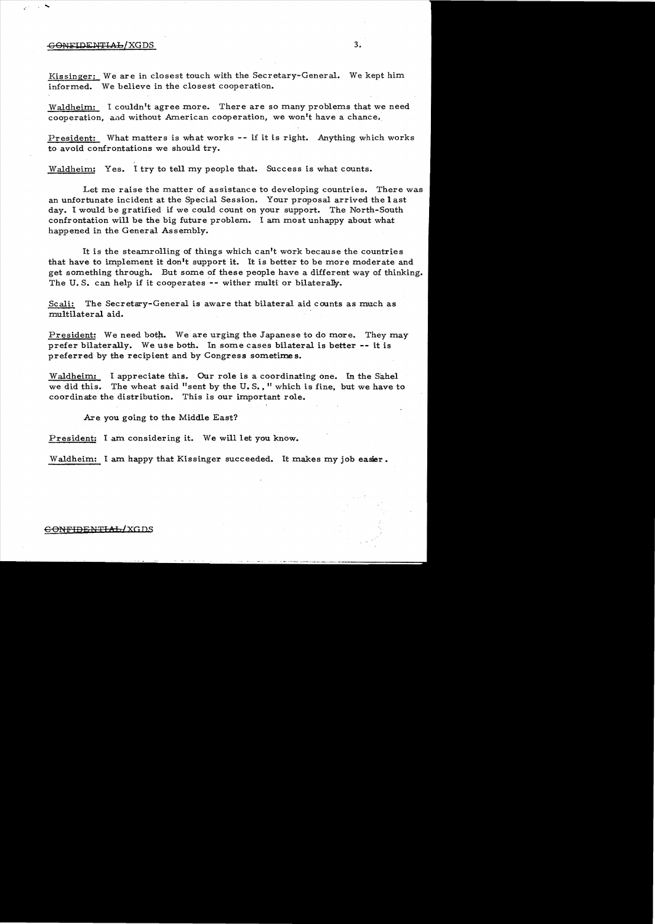### -G ON FIDENTIAL / XGDS 3.

,  $\sim$ 

Kissinger: We are in closest touch with the Secretary-General. We kept him informed. We believe in the closest cooperation.

Waldheim: I couldn't agree more. There are so many problems that we need cooperation, and without American cooperation, we won't have a chance.

President: What matters is what works -- if it is right. Anything which works to avoid confrontations we should try.

Waldheim: Yes. I try to tell my people that. Success is what counts.

Let me raise the matter of assistance to developing countries. There was an unfortunate incident at the Special Session. Your proposal arrived the 1 ast day. I would be gratified if we could count on your support. The North-South confrontation will be the big future problem. I am most unhappy about what happened in the General Assembly.

It is the steamrolling of things which can't work because the countries that have to implement it don<sup>1</sup>t support it. It is better to be more moderate and get something through. But some of these people have a different way of thinking. The U.S. can help if it cooperates -- wither multi or bilaterally.

Scali: The Secretary-General is aware that bilateral aid counts as much as multilateral aid.

President: We need both. We are urging the Japanese to do more. They may prefer bilaterally. We use both. In some cases bilateral is better -- it is preferred by the recipient and by Congress sometimes.

Waldheim: I appreciate this. Our role is a coordinating one. In the Sahel we did this. The wheat said "sent by the U.S., " which is fine, but we have to coordinate the distribution. This is our important role.

Are you going to the Middle East?

President: I am considering it. We will let you know.

Waldheim: I am happy that Kissinger succeeded. It makes my job easier.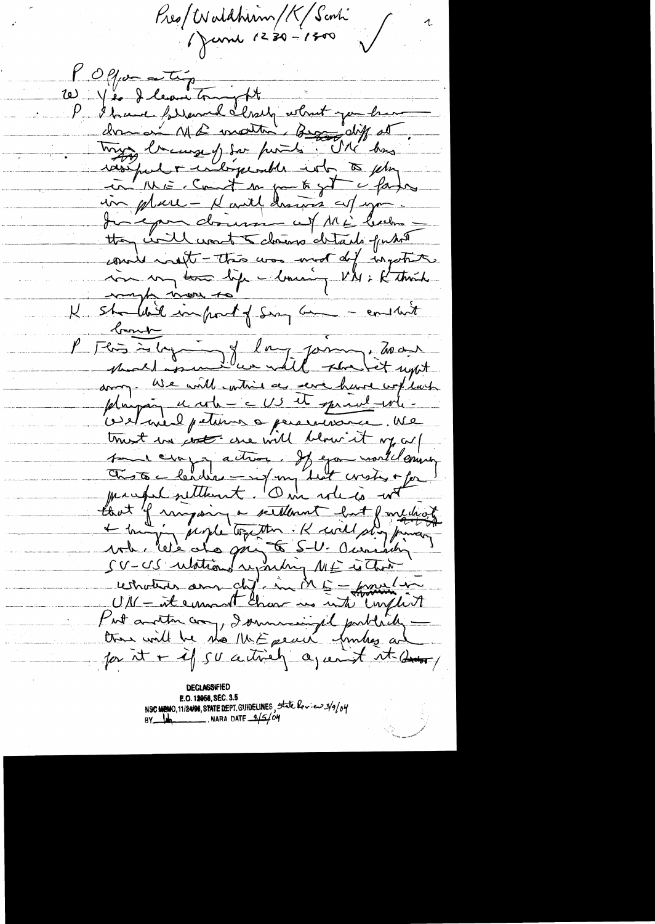Pres/Waldhim/K/Scali

l'Offer au Tip P 81 avril follement le lessely what you have dre on Md motte Brandy at. in ME. Cont so gut of fate in place - Marth drawis cut you. Junepon domini w/ ME buches they will want to change details publi counter water this was mot dif ingotite som son tom lip Maning VI : Kthat shouldn't import of Sun an - entant bond " "<br>Flors is logo - I day form ; To on arry. We will within a serve have worklach plunping et role = = US et spread-wh = velaire petition appearance Me trust un cross une will blow it my cul sure conservation. If you would envir lant of ringing a settlement but function cernations au chef in ME - francs Kut another comp I summeringed publicly there will be the MKE peace fundres and for it + if su actively against it down

E.O. 12058, SEC. 3.5 NSC MEMO, 11/24/98, STATE DEPT. GUIDELINES, State Review 3/9/04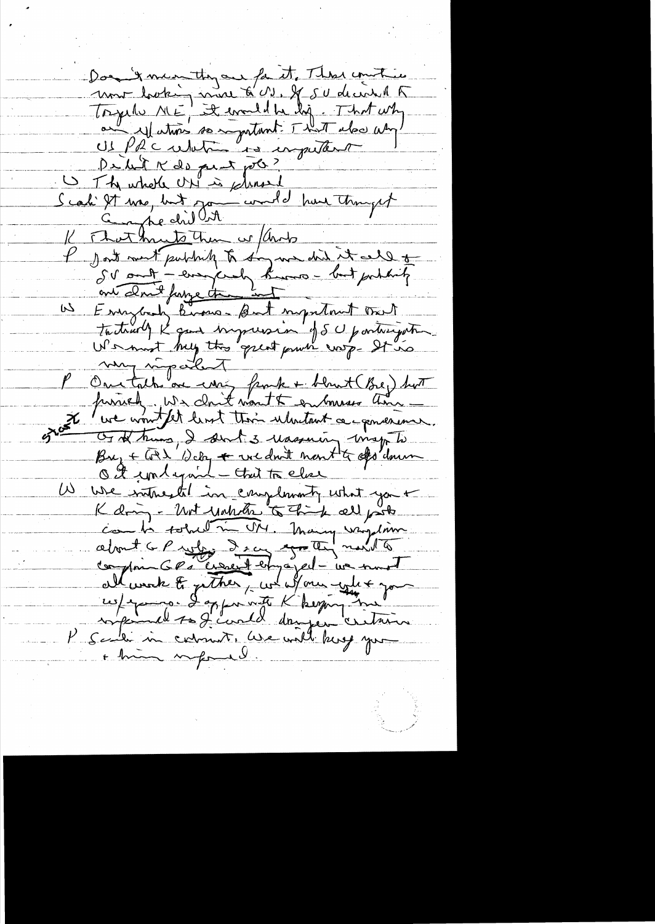Don't mean they are for it, These countries unt looking mode à M. J. Sudentil Torgethe ME! It eventd he lig. That why au Matin somptant That also um De la K de peut pob? Scali It use, but journal hun thought That musto them we / ands I Jost ment publick to day we did it all to SV ont-empirely kunsbut portants Everybody knows- But important trait <u>لىك</u> mon népelet Or of trums, I don't 3 reasoning wise to Buy + Get Weby + we don't ment to dis down O I contequent - that to clear  $\sqrt{2}$ We write til in complementy what you + K dring - Unt unklike to think all posts about a Profes Sea grater north compris GPs credit employed - we must all week to gether, we allow when you + him informal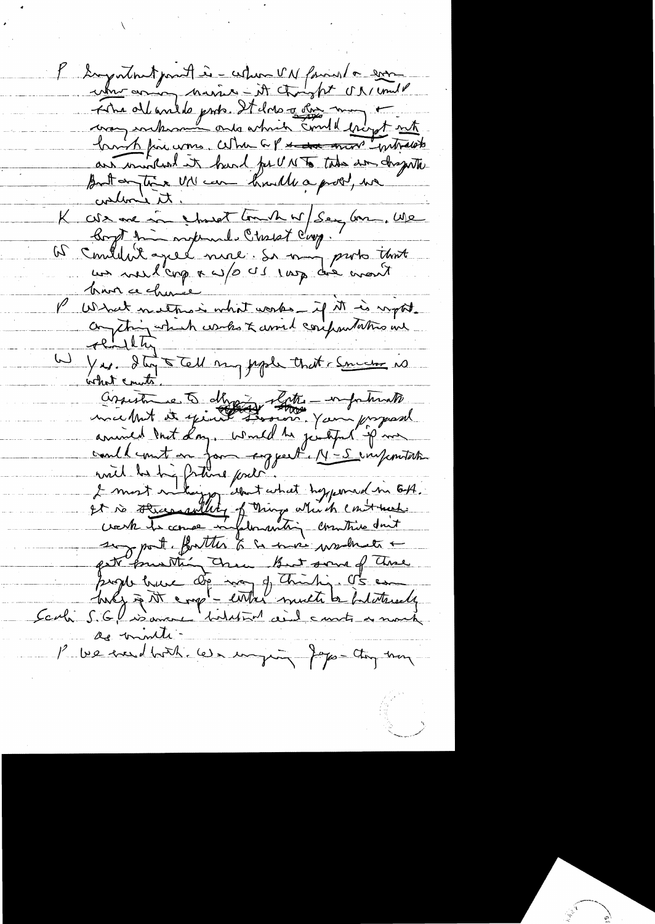Loyatout part is - when VN found a soon The ollentile prob. It does a for mon t are mind in hard for UNTo this am dragente But on the M' can huille a problement ti inder K cole me in struct touch w/ Say Gran. We<br>Boyt time night with long. That long. P What nether what works - if it is report.<br>Comptain which werks & assist compartations we rendtin Yes. It tell my people that chancers is assistance to day of the work proposal animals and that the part which is the sum program seg port. forther to a more wanter pet purthing them But some of these page baie de man of thinking of en as minute-1° ve madhorh. We inging Japon they have